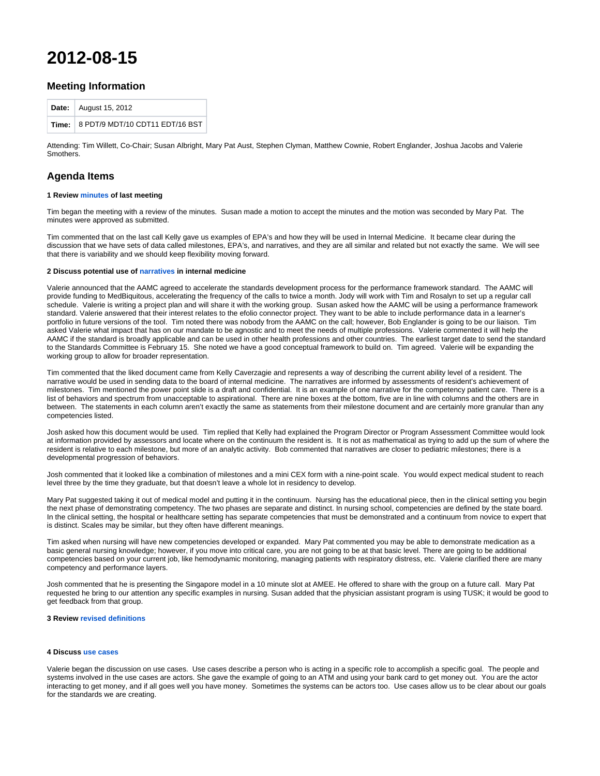# **2012-08-15**

## **Meeting Information**

| Date: August 15, 2012                 |
|---------------------------------------|
| Time: 8 PDT/9 MDT/10 CDT11 EDT/16 BST |

Attending: Tim Willett, Co-Chair; Susan Albright, Mary Pat Aust, Stephen Clyman, Matthew Cownie, Robert Englander, Joshua Jacobs and Valerie Smothers.

## **Agenda Items**

## **1 Review [minutes](http://groups.medbiq.org/medbiq/display/CF/2012-06-13) of last meeting**

Tim began the meeting with a review of the minutes. Susan made a motion to accept the minutes and the motion was seconded by Mary Pat. The minutes were approved as submitted.

Tim commented that on the last call Kelly gave us examples of EPA's and how they will be used in Internal Medicine. It became clear during the discussion that we have sets of data called milestones, EPA's, and narratives, and they are all similar and related but not exactly the same. We will see that there is variability and we should keep flexibility moving forward.

#### **2 Discuss potential use of [narratives](http://groups.medbiq.org/medbiq/download/attachments/59638292/IM_Narrative_example.pptx?version=1&modificationDate=1594240760000&api=v2) in internal medicine**

Valerie announced that the AAMC agreed to accelerate the standards development process for the performance framework standard. The AAMC will provide funding to MedBiquitous, accelerating the frequency of the calls to twice a month. Jody will work with Tim and Rosalyn to set up a regular call schedule. Valerie is writing a project plan and will share it with the working group. Susan asked how the AAMC will be using a performance framework standard. Valerie answered that their interest relates to the efolio connector project. They want to be able to include performance data in a learner's portfolio in future versions of the tool. Tim noted there was nobody from the AAMC on the call; however, Bob Englander is going to be our liaison. Tim asked Valerie what impact that has on our mandate to be agnostic and to meet the needs of multiple professions. Valerie commented it will help the AAMC if the standard is broadly applicable and can be used in other health professions and other countries. The earliest target date to send the standard to the Standards Committee is February 15. She noted we have a good conceptual framework to build on. Tim agreed. Valerie will be expanding the working group to allow for broader representation.

Tim commented that the liked document came from Kelly Caverzagie and represents a way of describing the current ability level of a resident. The narrative would be used in sending data to the board of internal medicine. The narratives are informed by assessments of resident's achievement of milestones. Tim mentioned the power point slide is a draft and confidential. It is an example of one narrative for the competency patient care. There is a list of behaviors and spectrum from unacceptable to aspirational. There are nine boxes at the bottom, five are in line with columns and the others are in between. The statements in each column aren't exactly the same as statements from their milestone document and are certainly more granular than any competencies listed.

Josh asked how this document would be used. Tim replied that Kelly had explained the Program Director or Program Assessment Committee would look at information provided by assessors and locate where on the continuum the resident is. It is not as mathematical as trying to add up the sum of where the resident is relative to each milestone, but more of an analytic activity. Bob commented that narratives are closer to pediatric milestones; there is a developmental progression of behaviors.

Josh commented that it looked like a combination of milestones and a mini CEX form with a nine-point scale. You would expect medical student to reach level three by the time they graduate, but that doesn't leave a whole lot in residency to develop.

Mary Pat suggested taking it out of medical model and putting it in the continuum. Nursing has the educational piece, then in the clinical setting you begin the next phase of demonstrating competency. The two phases are separate and distinct. In nursing school, competencies are defined by the state board. In the clinical setting, the hospital or healthcare setting has separate competencies that must be demonstrated and a continuum from novice to expert that is distinct. Scales may be similar, but they often have different meanings.

Tim asked when nursing will have new competencies developed or expanded. Mary Pat commented you may be able to demonstrate medication as a basic general nursing knowledge; however, if you move into critical care, you are not going to be at that basic level. There are going to be additional competencies based on your current job, like hemodynamic monitoring, managing patients with respiratory distress, etc. Valerie clarified there are many competency and performance layers.

Josh commented that he is presenting the Singapore model in a 10 minute slot at AMEE. He offered to share with the group on a future call. Mary Pat requested he bring to our attention any specific examples in nursing. Susan added that the physician assistant program is using TUSK; it would be good to get feedback from that group.

### **3 Review [revised definitions](http://groups.medbiq.org/medbiq/display/CWG/Performance+Framework+-+Definitions)**

### **4 Discuss [use cases](http://groups.medbiq.org/medbiq/display/CWG/Performance+Framework+-+Use+Cases)**

Valerie began the discussion on use cases. Use cases describe a person who is acting in a specific role to accomplish a specific goal. The people and systems involved in the use cases are actors. She gave the example of going to an ATM and using your bank card to get money out. You are the actor interacting to get money, and if all goes well you have money. Sometimes the systems can be actors too. Use cases allow us to be clear about our goals for the standards we are creating.